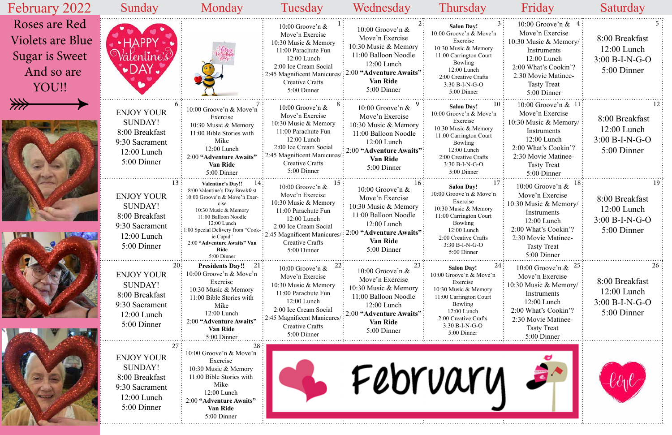| February 2022                                                                     | Sunday                                                                                                  | Monday                                                                                                                                                                                                                                                                       | Tuesday                                                                                                                                                                                               | Wednesday                                                                                                                                                           | <b>Thursday</b>                                                                                                                                                                                     | Friday                                                                                                                                                                               | Saturday                                                                 |
|-----------------------------------------------------------------------------------|---------------------------------------------------------------------------------------------------------|------------------------------------------------------------------------------------------------------------------------------------------------------------------------------------------------------------------------------------------------------------------------------|-------------------------------------------------------------------------------------------------------------------------------------------------------------------------------------------------------|---------------------------------------------------------------------------------------------------------------------------------------------------------------------|-----------------------------------------------------------------------------------------------------------------------------------------------------------------------------------------------------|--------------------------------------------------------------------------------------------------------------------------------------------------------------------------------------|--------------------------------------------------------------------------|
| Roses are Red<br>Violets are Blue<br><b>Sugar is Sweet</b><br>And so are<br>YOU!! | entine's<br>$\bullet$ day.                                                                              |                                                                                                                                                                                                                                                                              | 10:00 Groove'n $&$<br>Move'n Exercise<br>10:30 Music & Memory<br>11:00 Parachute Fun<br>12:00 Lunch<br>2:00 Ice Cream Social<br>: 2:45 Magnificent Manicures<br><b>Creative Crafts</b><br>5:00 Dinner | 10:00 Groove'n $&$<br>Move'n Exercise<br>10:30 Music & Memory<br>11:00 Balloon Noodle<br>$12:00$ Lunch<br>2:00 "Adventure Awaits"<br><b>Van Ride</b><br>5:00 Dinner | <b>Salon Day!</b><br>10:00 Groove'n & Move'n<br>Exercise<br>10:30 Music & Memory<br>11:00 Carrington Court<br>Bowling<br>12:00 Lunch<br>2:00 Creative Crafts<br>3:30 B-I-N-G-O<br>5:00 Dinner       | 10:00 Groove'n $& 4$<br>Move'n Exercise<br>10:30 Music & Memory/<br>Instruments<br>12:00 Lunch<br>2:00 What's Cookin'?<br>2:30 Movie Matinee-<br><b>Tasty Treat</b><br>5:00 Dinner   | 8:00 Breakfast<br>$12:00$ Lunch<br>$3:00 B-I-N-G-O$<br>5:00 Dinner       |
| ⋙                                                                                 | <b>ENJOY YOUR</b><br><b>SUNDAY!</b><br>8:00 Breakfast<br>9:30 Sacrament<br>$12:00$ Lunch<br>5:00 Dinner | 10:00 Groove'n & Move'n<br>Exercise<br>10:30 Music & Memory<br>11:00 Bible Stories with<br>Mike<br>12:00 Lunch<br>2:00 "Adventure Awaits"<br>Van Ride<br>5:00 Dinner                                                                                                         | 10:00 Groove'n $\&$<br>Move'n Exercise<br>10:30 Music & Memory<br>11:00 Parachute Fun<br>$12:00$ Lunch<br>2:00 Ice Cream Social<br>2:45 Magnificent Manicures/<br>Creative Crafts<br>5:00 Dinner      | 10:00 Groove'n &<br>Move'n Exercise<br>10:30 Music & Memory<br>11:00 Balloon Noodle<br>12:00 Lunch<br>2:00 "Adventure Awaits"<br>Van Ride<br>5:00 Dinner            | <b>Salon Day!</b><br>10:00 Groove'n & Move'n<br>Exercise<br>10:30 Music & Memory<br>11:00 Carrington Court<br>Bowling<br>12:00 Lunch<br>2:00 Creative Crafts<br>3:30 B-I-N-G-O<br>5:00 Dinner       | 10:00 Groove'n $& 11$<br>Move'n Exercise<br>10:30 Music & Memory/<br>Instruments<br>12:00 Lunch<br>2:00 What's Cookin'?<br>2:30 Movie Matinee-<br><b>Tasty Treat</b><br>5:00 Dinner  | 8:00 Breakfast<br>$12:00$ Lunch<br>$3:00 B-I-N-G-O$<br>5:00 Dinner       |
|                                                                                   | <b>ENJOY YOUR</b><br>SUNDAY!<br>8:00 Breakfast<br>9:30 Sacrament<br>$12:00$ Lunch<br>5:00 Dinner        | <b>Valentine's Day!!</b><br>8:00 Valentine's Day Breakfast<br>10:00 Groove'n & Move'n Exer-<br>cise<br>10:30 Music & Memory<br>11:00 Balloon Noodle<br>12:00 Lunch<br>: 1:00 Special Delivery from "Cook-<br>ie Cupid"<br>2:00 "Adventure Awaits" Van<br>Ride<br>5:00 Dinner | 10:00 Groove'n &<br>Move'n Exercise<br>10:30 Music & Memory<br>11:00 Parachute Fun<br>$12:00$ Lunch<br>2:00 Ice Cream Social<br>2:45 Magnificent Manicures/<br>Creative Crafts<br>5:00 Dinner         | 10:00 Groove'n $&$<br>Move'n Exercise<br>10:30 Music & Memory<br>11:00 Balloon Noodle<br>$12:00$ Lunch<br>2:00 "Adventure Awaits"<br>Van Ride<br>5:00 Dinner        | <b>Salon Day!</b><br>10:00 Groove'n & Move'n<br>Exercise<br>10:30 Music & Memory<br>11:00 Carrington Court<br>Bowling<br>12:00 Lunch<br>2:00 Creative Crafts<br>$3:30 B-I-N-G-O$<br>5:00 Dinner     | 10:00 Groove'n $\&$<br>Move'n Exercise<br>10:30 Music & Memory/<br>Instruments<br>12:00 Lunch<br>2:00 What's Cookin'?<br>2:30 Movie Matinee-<br><b>Tasty Treat</b><br>5:00 Dinner    | 8:00 Breakfast<br>$12:00$ Lunch<br>$3:00 B-I-N-G-O$<br>5:00 Dinner       |
|                                                                                   | 20:<br><b>ENJOY YOUR</b><br>SUNDAY!<br>8:00 Breakfast<br>9:30 Sacrament<br>$12:00$ Lunch<br>5:00 Dinner | <b>Presidents Day!!</b> 21<br>10:00 Groove'n & Move'n<br>Exercise<br>10:30 Music & Memory<br>11:00 Bible Stories with<br>Mike<br>12:00 Lunch<br>2:00 "Adventure Awaits"<br><b>Van Ride</b><br>5:00 Dinner                                                                    | 10:00 Groove'n &<br>Move'n Exercise<br>10:30 Music & Memory<br>11:00 Parachute Fun<br>$12:00$ Lunch<br>2:00 Ice Cream Social<br>2:45 Magnificent Manicures/<br><b>Creative Crafts</b><br>5:00 Dinner  | 10:00 Groove'n $\&$<br>Move'n Exercise<br>10:30 Music & Memory<br>11:00 Balloon Noodle<br>12:00 Lunch<br>2:00 "Adventure Awaits"<br><b>Van Ride</b><br>5:00 Dinner  | 24<br><b>Salon Day!</b><br>10:00 Groove'n & Move'n<br>Exercise<br>10:30 Music & Memory<br>11:00 Carrington Court<br>Bowling<br>12:00 Lunch<br>2:00 Creative Crafts<br>3:30 B-I-N-G-O<br>5:00 Dinner | 10:00 Groove'n $\&$ 25<br>Move'n Exercise<br>10:30 Music & Memory/<br>Instruments<br>12:00 Lunch<br>2:00 What's Cookin'?<br>2:30 Movie Matinee-<br><b>Tasty Treat</b><br>5:00 Dinner | 26<br>8:00 Breakfast<br>$12:00$ Lunch<br>$3:00 B-I-N-G-O$<br>5:00 Dinner |
|                                                                                   | <b>ENJOY YOUR</b><br><b>SUNDAY!</b><br>8:00 Breakfast<br>9:30 Sacrament<br>$12:00$ Lunch<br>5:00 Dinner | 10:00 Groove'n & Move'n<br>Exercise<br>10:30 Music & Memory<br>11:00 Bible Stories with<br>Mike<br>12:00 Lunch<br>2:00 "Adventure Awaits"<br><b>Van Ride</b><br>5:00 Dinner                                                                                                  |                                                                                                                                                                                                       |                                                                                                                                                                     | February                                                                                                                                                                                            |                                                                                                                                                                                      |                                                                          |

ŕ.

| 3<br>n  | 4<br>10:00 Groove'n $&$<br>Move'n Exercise<br>10:30 Music & Memory/<br>Instruments<br>12:00 Lunch<br>2:00 What's Cookin'?<br>2:30 Movie Matinee-<br><b>Tasty Treat</b><br>5:00 Dinner    | 5<br>8:00 Breakfast<br>$12:00$ Lunch<br>$3:00 B-I-N-G-O$<br>5:00 Dinner  |
|---------|------------------------------------------------------------------------------------------------------------------------------------------------------------------------------------------|--------------------------------------------------------------------------|
| 10<br>n | 10:00 Groove'n $& 11$<br>Move'n Exercise<br>10:30 Music & Memory/<br>Instruments<br>12:00 Lunch<br>2:00 What's Cookin'?<br>2:30 Movie Matinee-<br><b>Tasty Treat</b><br>5:00 Dinner      | 12<br>8:00 Breakfast<br>$12:00$ Lunch<br>$3:00 B-I-N-G-O$<br>5:00 Dinner |
| 17<br>n | 18<br>10:00 Groove'n &<br>Move'n Exercise<br>10:30 Music & Memory/<br>Instruments<br>$12:00$ Lunch<br>2:00 What's Cookin'?<br>2:30 Movie Matinee-<br><b>Tasty Treat</b><br>5:00 Dinner   | 19<br>8:00 Breakfast<br>$12:00$ Lunch<br>$3:00 B-I-N-G-O$<br>5:00 Dinner |
| 24<br>ı | 25<br>$10:00$ Groove'n &<br>Move'n Exercise<br>10:30 Music & Memory/<br>Instruments<br>$12:00$ Lunch<br>2:00 What's Cookin'?<br>2:30 Movie Matinee-<br><b>Tasty Treat</b><br>5:00 Dinner | 26<br>8:00 Breakfast<br>$12:00$ Lunch<br>$3:00 B-I-N-G-O$<br>5:00 Dinner |